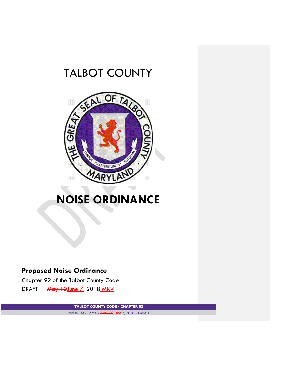# TALBOT COUNTY



# **NOISE ORDINANCE**

## **Proposed Noise Ordinance**

Chapter 92 of the Talbot County Code

DRAFT May 10 June 7, 2018 MKV

**TALBOT COUNTY CODE • CHAPTER 92**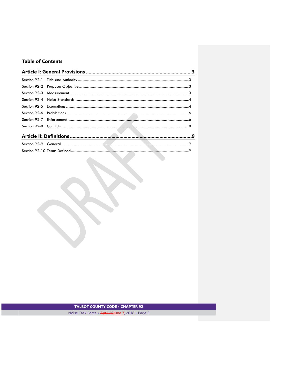## **Table of Contents**

## TALBOT COUNTY CODE . CHAPTER 92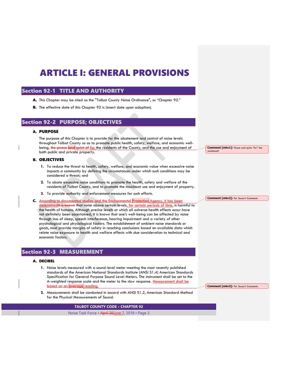## <span id="page-2-0"></span>ARTICLE I: GENERAL PROVISIONS

## <span id="page-2-1"></span>Section 92-1 TITLE AND AUTHORITY

- A. This Chapter may be cited as the "Talbot County Noise Ordinance", or "Chapter 92."
- B. The effective date of this Chapter 92 is (insert date upon adoption).

## <span id="page-2-2"></span>Section 92-2 PURPOSE; OBJECTIVES

### A. PURPOSE

The purpose of this Chapter is to provide for the abatement and control of noise levels throughout Talbot County so as to promote public health, safety, welfare, and economic wellbeing, the peace and quiet of for the residents of the County, and the use and enjoyment of both public and private property.

## B. OBJECTIVES

- **1.** To reduce the threat to health, safety, welfare, and economic value when excessive noise impacts a community by defining the circumstances under which such conditions may be considered a threat; and
- **2.** To abate excessive noise conditions to promote the health, safety and welfare of the residents of Talbot County, and to promote the maximum use and enjoyment of property.
- **3.** To provide authority and enforcement measures for such efforts.
- C. According to documented studies and the Environmental Protection Agency, it has been determined it is known that noise above certain levels, for certain periods of time, is harmful to the health of humans. Although precise levels at which all adverse health effects occur have not definitely been ascertained, it is known that one's well-being can be affected by noise through loss of sleep, speech interference, hearing impairment and a variety of other psychological and physiological factors. The establishment of ambient noise standards or goals, must provide margins of safety in reaching conclusions based on available data which relate noise exposure to health and welfare effects with due consideration to technical and economic factors.

## <span id="page-2-3"></span>Section 92-3 MEASUREMENT

#### A. DECIBEL

- **1.** Noise levels measured with a sound-level meter meeting the most recently published standards of the American National Standards Institute (ANSI S1.4) American Standards Specification for General Purpose Sound Level Meters. The instrument shall be set to the A-weighted response scale and the meter to the slow response. Measurement shall be based on an average reading.
- **2.** Measurements shall be conducted in accord with ANSI S1.2, American Standard Method for the Physical Measurements of Sound.

**TALBOT COUNTY CODE • CHAPTER 92**

Noise Task Force • April 26June 7, 2018 • Page 3

**Comment [mkv1]:** Peace and quite "for" the residence?

**Comment [mkv2]:** Per Susan's Comments

**Comment [mkv3]:** Per Susan's Comments.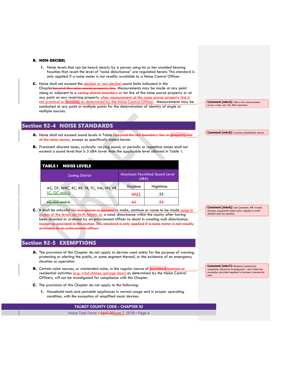## B. NON-DECIBEL

- **1.** Noise levels that can be heard clearly by a person using his or her unaided hearing faculties that reach the level of "noise disturbance" are regulated herein. This standard is only applied if a noise meter is not readily available to a Noise Control Officer.
- C. Noise shall not exceed the decibel or non-decibel sound limits indicated in this Chapterbeyond the noise source property line. Measurements may be made at any point along or adjacent to a zoning district boundary or lot line of the noise source property or at any point on any receiving property when measurement at the noise source property line is not practical or feasible, as determined by the Noise Control Officer. Measurements may be conducted at any point or multiple points for the determination of identity of single or multiple sources.

## <span id="page-3-0"></span>Section 92-4 NOISE STANDARDS

- A. Noise shall not exceed sound levels in Table I-beyond the of the noise source, except as specifically stated herein.
- B. Prominent discrete tones, cyclically varying sound, or periodic or repetitive noises shall not exceed a sound level that is 5 dBA lower than the applicable level allowed in Table 1.

| TABLE I NOISE LEVELS                     |                                               |           |
|------------------------------------------|-----------------------------------------------|-----------|
| <b>Zoning District</b>                   | <b>Maximum Permitted Sound Level</b><br>(dBA) |           |
| AC, CP, WRC, RC, RR, TR, TC, VM, VH, VR, | Daytime                                       | Nighttime |
| LC, GC and Ll                            | 6065                                          | 55        |
|                                          | 65                                            | 55        |

C. It shall be unlawful for any person or persons to make, continue or cause to be made noise in excess of the levels set forth herein, or a noise disturbance within the county after having been directed or ordered by an enforcement officer to desist in creating such disturbance; except as provided in this section. This standard is only applied if a noise meter is not readily available to an enforcement officer.

## <span id="page-3-1"></span>Section 92-5 EXEMPTIONS

- A. The provisions of this Chapter do not apply to devices used solely for the purpose of warning, protecting or alerting the public, or some segment thereof, or the existence of an emergency situation or operation.
- B. Certain noise sources, or unintended noise, in the regular course of **permitted** busine residential activities (e.g. wind chimes, garage door) as determined by the Noise Control Officers, will not be investigated for compliance with this Chapter.
- C. The provisions of this Chapter do not apply to the following:
	- **1.** Household tools and portable appliances in normal usage and in proper operating condition, with the exception of amplified music devices.

**TALBOT COUNTY CODE • CHAPTER 92**

Noise Task Force • April 26June 7, 2018 • Page 4

**Comment [mkv6]:** Lee Comment. MK tweaks.

Animals, equipment make noise. Applies to both decibel and non-decibel.

**Comment [mkv7]:** Business/commercial complaints should be investigated. I don't think the examples provided applied to business/commercial uses.

**Comment [mkv4]:** Allows for measurement across water, etc. Per MO comments.

**Comment [mkv5]:** Location established above.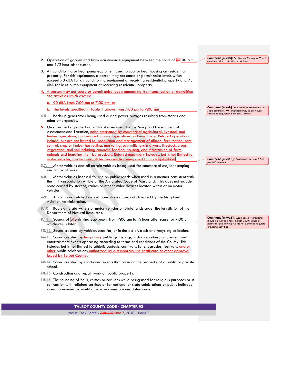- **2.** Operation of garden and lawn maintenance equipment between the hours of  $\frac{67}{62}$ :00 a.m. and 1/2 hour after sunset.
- **3.** Air conditioning or heat pump equipment used to cool or heat housing on residential property. For this equipment, a person may not cause or permit noise levels which exceed 70 dBA for air conditioning equipment at receiving residential property and 75 dBA for heat pump equipment at receiving residential property.
- **4.** A person may not cause or permit noise levels emanating from construction or demolition site activities which exceed:

a. 90 dBA from 7:00 am to 7:00 pm; or

- b. The levels specified in Table 1 above from 7:00 pm to 7:00 am
- **4.5.** Back-up generators being used during power outages resulting from storms and other emergencies.
- **6.** On a property granted agricultural assessment by the Maryland Department of Assessment and Taxation, noise emanated by commercial agricultural, livestock and timber operations, and related support operations and machinery. Related operations include, but are not limited to, production and management of tillage, fertilization, pest control, crop or timber harvesting, marketing, saw mills, grain dryers, livestock, crops, vegetation, and soil including compost, feeding, housing, and maintaining of farm animals and handling their by-products. Related machinery includes, but is not limited to, motor vehicles, tractors and all terrain vehicles being used for such operations
- **5.7.** Motor vehicles and all terrain vehicles being used for commercial use, landscaping and/or yard work.
- **6.8.** Motor vehicles licensed for use on public roads when used in a manner consistent with the Transportation Article of the Annotated Code of Maryland. This does not include noise caused by stereos, radios or other similar devices located within or on motor vehicles.
- **7.9.** Aircraft and related airport operations at airports licensed by the Maryland Aviation Administration.
- **8.10.** Boats on State waters or motor vehicles on State lands under the jurisdiction of the Department of Natural Resources.
- **9.11.** Sounds of pile driving equipment from 7:00 am to ½ hour after sunset or 7:30 pm, whichever is later.
- **10.12.** Sound created by vehicles used for, or in the act of, trash and recycling collection.
- **11.13.** Sound created by temporary public gatherings, such as sporting, amusement and entertainment events operating according to terms and conditions of the County. This includes but is not limited to athletic contests, carnivals, fairs, parades, festivals, and or other public celebrations **authorized by a temporary use certificate or other approval** issued by Talbot County.
- **12.14.** Sound created by sanctioned events that occur on the property of a public or private school.
- **13.15.** Construction and repair work on public property.
- **14.16.** The sounding of bells, chimes or carillons while being used for religious purposes or in conjunction with religious services or for national or state celebrations or public holidays in such a manner as would otherwise cause a noise disturbance.

**TALBOT COUNTY CODE • CHAPTER 92**

Noise Task Force • April 26June 7, 2018 • Page 5

**Comment [mkv8]:** Per Susan's Comments. 7am is ion start time.

**Comment [mkv9]:** Relocated to exemptions per Jacks comments. MK amended time, as previously written no regulation between 7-10pm.

**Comment [mkv10]:** Combined previous 5 & 6 per MO comments.

**Comment [mkv11]:** Susan asked if dredging should be included here. Talbot County issues a permit for pile driving, we do not permit or regulate dredging activities.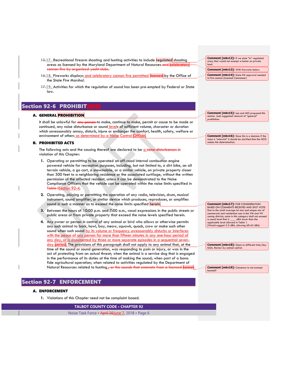- **15.17.** Recreational firearm shooting and hunting activities to include regulated shooting areas as licensed by the Maryland Department of Natural Resources-and celebrat non fire by organized yacht clubs.
- 16.18. Fireworks displays and celebratory cannon fire permitted licensed by the Office of the State Fire Marshal.
- **17.19.** Activities for which the regulation of sound has been pre-empted by Federal or State law.

## <span id="page-5-0"></span>Section 92-6 PROHIBITIONS

## A. GENERAL PROHIBITION

It shall be unlawful for any person-to make, continue to make, permit or cause to be made or continued, any noise disturbance or sound levels of sufficient volume, character or duration which unreasonably annoy, disturb, injure or endanger the comfort, health, safety, welfare or environment of others as determined by a Noise Control Officer.

## B. PROHIBITED ACTS

The following acts and the causing thereof are declared to be  $a$  noise disturbances violation of this Chapter:

- **1.** Operating or permitting to be operated an off-road internal combustion engine powered vehicle for recreation purposes, including, but not limited to, a dirt bike, an all terrain vehicle, a go cart, a snowmobile, or a similar vehicle, on private property closer than 300 feet to a neighboring residence or the associated curtilage, without the written permission of the affected resident, unless it can be demonstrated to the Noise Compliance Officers that the vehicle can be operated within the noise limits specified in Table ISection 92-4.
- **2.** Operating, playing or permitting the operation of any radio, television, drum, musical instrument, sound amplifier, or similar device which produces, reproduces, or amplifies sound in such a manner as to exceed the noise limits specified <mark>herein</mark>.
- **3.** Between the hours of 10:00 p.m. and 7:00 a.m., vocal expressions in the public streets or public areas or from private property that exceed the noise levels specified herein.
- **4.** Any owner or person in control of any animal or bird who allows or otherwise permits any such animal to bark, howl, bay, meow, squawk, quack, crow or make such other sound when such sound by its volume or frequency unreasonably disturbs or interferes with the peace of any person for more than fifteen minutes in any one-hour period of any day, or is documented by three or more separate episodes in a sequential sevenday period. The provisions of this paragraph shall not apply to any animal that, at the time of the sound or sound generation, was responding to pain or injury, or was in the act of protecting from an actual threat; when the animal is a service dog that is engaged in the performance of its duties at the time of making the sound; when part of a bona fide agricultural operation; when related to activities regulated by the Department of Natural Resources related to hunting.; or

## <span id="page-5-1"></span>Section 92-7 ENFORCEMENT

## A. ENFORCEMENT

**1.** Violations of this Chapter need not be complaint based.

**TALBOT COUNTY CODE • CHAPTER 92**

Noise Task Force • April 26June 7, 2018 • Page 6

**Comment [mkv12]:** If we state "in" regulated area, that would not exempt a hunter on private land.

**Comment [mkv13]:** With fireworks below.

**Comment [mkv14]:** State FM approval needed to fire cannon (Licensed Cannoneer)

**Comment [mkv15]:** Lee and MO proposed this section. Jack suggested removal of "general" prohibition.

**Comment [mkv16]:** Since this is a decision if the noise is "unlawful" it should be clarified that the NCO makes the determination.

**Comment [mkv17]:** FOR CONSIDERATION **BASED ON COMMENTS RECEIVED AND SPLIT VOTE:** Due to the small average lot size and unique mix of commercial and residential uses in the VM and VH zoning districts, noise in this category shall not exceed a sound level that is \_\_\_\_ dBA lower than the applicable level allowed in Table 1. (Would suggest 2-5 dBA, allowing 60-63 dBA)

**Comment [mkv18]:** Open to different time/day limits. Review by animal control.

**Comment [mkv19]:** Consensus to not exempt kennels?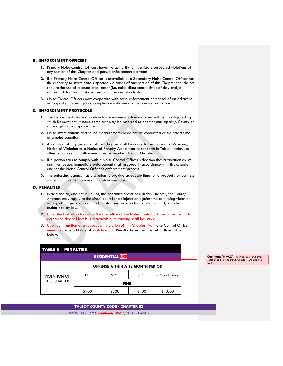## B. ENFORCEMENT OFFICERS

- **1.** Primary Noise Control Officers have the authority to investigate suspected violations of any section of this Chapter and pursue enforcement activities.
- **2.** If a Primary Noise Control Officer is unavailable, a Secondary Noise Control Officer has the authority to investigate suspected violations of any section of this Chapter that do not require the use of a sound level meter (i.e. noise disturbance, times of day and/or distance determinations) and pursue enforcement activities.
- **3.** Noise Control Officers may cooperate with noise enforcement personnel of an adjacent municipality in investigating compliance with one another's noise ordinance.

## C. ENFORCEMENT PROTOCOLS

- **1.** The Departments have discretion to determine which noise cases will be investigated by which Department. A noise complaint may be referred to another municipality, County or state agency as appropriate.
- **2.** Noise investigations and sound measurements need not be conducted at the exact time of a noise compliant.
- **3.** A violation of any provision of this Chapter shall be cause for issuance of a Warning, Notice of Violation or a Notice of Penalty Assessment as set forth in Table II below, or other actions or mitigation measures as required by this Chapter.
- **4.** If a person fails to comply with a Noise Control Officer's decision that a violation exists and must cease, immediate enforcement shall proceed in accordance with this Chapter and/or the Noise Control Officer's enforcement process.
- **5.** The enforcing agency has discretion to provide adequate time for a property or business owner to implement a noise mitigation measure.

#### D. PENALTIES

- **1.** In addition to, and not in lieu of, the penalties prescribed in this Chapter, the County Attorney may apply to the circuit court for an injunction against the continuing violation of any of the provisions of this Chapter and may seek any other remedy of relief authorized by law.
- **2.** Upon the first infraction or at the discretion of the Noise Control Officer if the means to determine decibel levels is unavailable, a warning shall be issued.
- **3.** Upon confirmation of a subsequent violation of this Chapter, Aa Noise Control Officer may shall issue a Notice of Violation and Penalty Assessment as set forth in Table II below.

| <b>TABLE II PENALTIES</b> |                                         |            |                 |                |  |  |  |  |
|---------------------------|-----------------------------------------|------------|-----------------|----------------|--|--|--|--|
| <b>RESIDENTIAL</b>        |                                         |            |                 |                |  |  |  |  |
|                           | <b>OFFENSE WITHIN A 12 MONTH PERIOD</b> |            |                 |                |  |  |  |  |
| <b>VIOLATION OF</b>       | 1 <sub>S</sub>                          | <b>2ND</b> | 3 <sub>RD</sub> | $4TH$ and more |  |  |  |  |
| THIS CHAPTER              | <b>FINE</b>                             |            |                 |                |  |  |  |  |
|                           | \$100                                   | \$200      | \$400           | \$1,000        |  |  |  |  |

**Comment [mkv20]:** Inserted "use" and other categories below to match Chapter 190 land use table.

## **TALBOT COUNTY CODE • CHAPTER 92**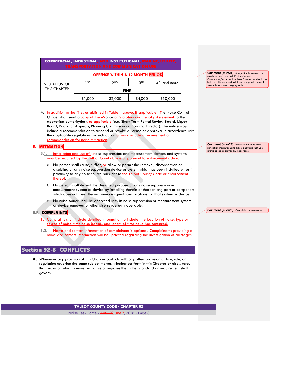| <b>COMMERCIAL, INDUSTRIAL, AND-INSTITUTIONAL, MARINE, UTILITY,</b><br>TRANSPORTATION AND COMMUNICATION USE |                                         |            |                 |                |  |  |  |  |
|------------------------------------------------------------------------------------------------------------|-----------------------------------------|------------|-----------------|----------------|--|--|--|--|
|                                                                                                            | <b>OFFENSE WITHIN A 12 MONTH PERIOD</b> |            |                 |                |  |  |  |  |
| <b>VIOLATION OF</b>                                                                                        | 1 ST                                    | <b>OND</b> | 3 <sub>RD</sub> | $4TH$ and more |  |  |  |  |
| THIS CHAPTER                                                                                               | <b>FINE</b>                             |            |                 |                |  |  |  |  |
|                                                                                                            | \$1,000                                 | \$2,000    | \$4,000         | \$10,000       |  |  |  |  |

#### **Comment [mkv21]:** Suggestion to remove 12 month period from both Residential and Commercial/etc. uses. I believe Commercial should be held to a higher standard. I would support removal from this land use category only.

4. In addition to the fines established in Table II above, if applicable, +Ihe Noise Control Officer shall send a copy of the nNotice of Violation and Penalty Assessment to the approving authority(ies), as applicable (e.g. Short-Term Rental Review Board, Liquor Board, Board of Appeals, Planning Commission or Planning Director). The notice may include a recommendation to suspend or revoke a license or approval in accordance with the applicable regulations for such action or may include a requirement or recommendation for noise mitigation.

## E. MITIGATION

- **5.1.** Installation and use of Nnoise suppression and measurement devices and systems may be required by the Talbot County Code or pursuant to enforcement action.
	- a. No person shall cause, suffer, or allow or permit the removal, disconnection or disabling of any noise suppression device or system which has been installed on or in proximity to any noise source pursuant to the Talbot County Code or enforcement thereof.
	- b. No person shall defeat the designed purpose of any noise suppression or measurement system or device by installing therein or thereon any part or component which does not meet the minimum designed specifications for that system or device.
	- c. No noise source shall be operated with its noise suppression or measurement system or device removed or otherwise rendered inoperable.

## E.F. COMPLAINTS

- **1.** Complaints shall include detailed information to include; the location of noise, type or source of noise, time noise began, and length of time noise has continued.
- **1.2.** Name and contact information of complainant is optional. Complainants providing a name and contact information will be updated regarding the investigation at all stages.

## <span id="page-7-0"></span>Section 92-8 CONFLICTS

A. Whenever any provision of this Chapter conflicts with any other provision of law, rule, or regulation covering the same subject matter, whether set forth in this Chapter or elsewhere, that provision which is more restrictive or imposes the higher standard or requirement shall govern.

## **TALBOT COUNTY CODE • CHAPTER 92**

Noise Task Force • April 26June 7, 2018 • Page 8

**Comment [mkv22]:** New section to address mitigation measures using base language that Lee provided as approved by Task Force.

**Comment [mkv23]:** Complaint requirements.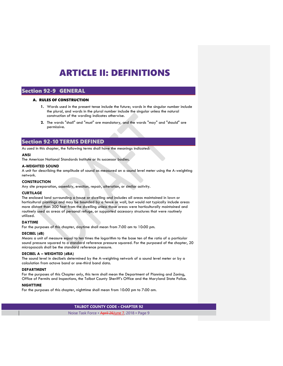## ARTICLE II: DEFINITIONS

## <span id="page-8-1"></span><span id="page-8-0"></span>Section 92-9 GENERAL

## A. RULES OF CONSTRUCTION

- **1.** Words used in the present tense include the future; words in the singular number include the plural, and words in the plural number include the singular unless the natural construction of the wording indicates otherwise.
- **2.** The words "shall" and "must" are mandatory, and the words "may" and "should" are permissive.

## <span id="page-8-2"></span>Section 92-10 TERMS DEFINED

As used in this chapter, the following terms shall have the meanings indicated:

## **ANSI**

The American National Standards Institute or its successor bodies.

#### **A-WEIGHTED SOUND**

A unit for describing the amplitude of sound as measured on a sound level meter using the A-weighting network.

## **CONSTRUCTION**

Any site preparation, assembly, erection, repair, alteration, or similar activity.

## **CURTILAGE**

The enclosed land surrounding a house or dwelling and includes all areas maintained in lawn or horticultural plantings and may be bounded by a fence or wall, but would not typically include areas more distant than 300 feet from the dwelling unless those areas were horticulturally maintained and routinely used as areas of personal refuge, or supported accessory structures that were routinely utilized.

## **DAYTIME**

For the purposes of this chapter, daytime shall mean from 7:00 am to 10:00 pm.

## **DECIBEL (dB)**

Means a unit of measure equal to ten times the logarithm to the base ten of the ratio of a particular sound pressure squared to a standard reference pressure squared. For the purposed of the chapter, 20 micropascals shall be the standard reference pressure.

## **DECIBEL A – WEIGHTED (dBA)**

The sound level in decibels determined by the A-weighting network of a sound level meter or by a calculation from octave band or one-third band data.

## **DEPARTMENT**

For the purposes of this Chapter only, this term shall mean the Department of Planning and Zoning, Office of Permits and Inspections, the Talbot County Sheriff's Office and the Maryland State Police.

#### **NIGHTTIME**

For the purposes of this chapter, nighttime shall mean from 10:00 pm to 7:00 am.

**TALBOT COUNTY CODE • CHAPTER 92**